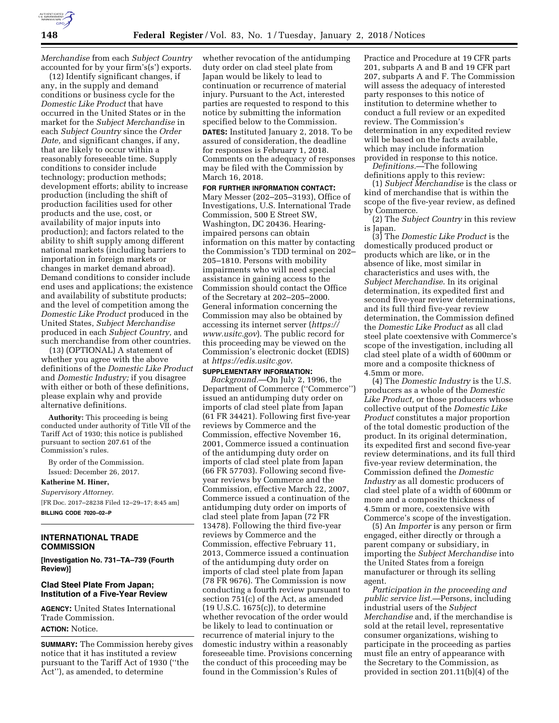

*Merchandise* from each *Subject Country*  accounted for by your firm's(s') exports.

(12) Identify significant changes, if any, in the supply and demand conditions or business cycle for the *Domestic Like Product* that have occurred in the United States or in the market for the *Subject Merchandise* in each *Subject Country* since the *Order Date,* and significant changes, if any, that are likely to occur within a reasonably foreseeable time. Supply conditions to consider include technology; production methods; development efforts; ability to increase production (including the shift of production facilities used for other products and the use, cost, or availability of major inputs into production); and factors related to the ability to shift supply among different national markets (including barriers to importation in foreign markets or changes in market demand abroad). Demand conditions to consider include end uses and applications; the existence and availability of substitute products; and the level of competition among the *Domestic Like Product* produced in the United States, *Subject Merchandise*  produced in each *Subject Country,* and such merchandise from other countries.

(13) (OPTIONAL) A statement of whether you agree with the above definitions of the *Domestic Like Product*  and *Domestic Industry;* if you disagree with either or both of these definitions, please explain why and provide alternative definitions.

**Authority:** This proceeding is being conducted under authority of Title VII of the Tariff Act of 1930; this notice is published pursuant to section 207.61 of the Commission's rules.

By order of the Commission. Issued: December 26, 2017.

### **Katherine M. Hiner,**

*Supervisory Attorney.*  [FR Doc. 2017–28238 Filed 12–29–17; 8:45 am] **BILLING CODE 7020–02–P** 

### **INTERNATIONAL TRADE COMMISSION**

**[Investigation No. 731–TA–739 (Fourth Review)]** 

### **Clad Steel Plate From Japan; Institution of a Five-Year Review**

**AGENCY:** United States International Trade Commission. **ACTION:** Notice.

**SUMMARY:** The Commission hereby gives notice that it has instituted a review pursuant to the Tariff Act of 1930 (''the Act''), as amended, to determine

whether revocation of the antidumping duty order on clad steel plate from Japan would be likely to lead to continuation or recurrence of material injury. Pursuant to the Act, interested parties are requested to respond to this notice by submitting the information specified below to the Commission. **DATES:** Instituted January 2, 2018. To be assured of consideration, the deadline for responses is February 1, 2018. Comments on the adequacy of responses may be filed with the Commission by March 16, 2018.

**FOR FURTHER INFORMATION CONTACT:**  Mary Messer (202–205–3193), Office of Investigations, U.S. International Trade Commission, 500 E Street SW, Washington, DC 20436. Hearingimpaired persons can obtain information on this matter by contacting the Commission's TDD terminal on 202– 205–1810. Persons with mobility impairments who will need special assistance in gaining access to the Commission should contact the Office of the Secretary at 202–205–2000. General information concerning the Commission may also be obtained by accessing its internet server (*[https://](https://www.usitc.gov) [www.usitc.gov](https://www.usitc.gov)*). The public record for this proceeding may be viewed on the Commission's electronic docket (EDIS) at *<https://edis.usitc.gov>*.

### **SUPPLEMENTARY INFORMATION:**

*Background.*—On July 2, 1996, the Department of Commerce (''Commerce'') issued an antidumping duty order on imports of clad steel plate from Japan (61 FR 34421). Following first five-year reviews by Commerce and the Commission, effective November 16, 2001, Commerce issued a continuation of the antidumping duty order on imports of clad steel plate from Japan (66 FR 57703). Following second fiveyear reviews by Commerce and the Commission, effective March 22, 2007, Commerce issued a continuation of the antidumping duty order on imports of clad steel plate from Japan (72 FR 13478). Following the third five-year reviews by Commerce and the Commission, effective February 11, 2013, Commerce issued a continuation of the antidumping duty order on imports of clad steel plate from Japan (78 FR 9676). The Commission is now conducting a fourth review pursuant to section 751(c) of the Act, as amended (19 U.S.C. 1675(c)), to determine whether revocation of the order would be likely to lead to continuation or recurrence of material injury to the domestic industry within a reasonably foreseeable time. Provisions concerning the conduct of this proceeding may be found in the Commission's Rules of

Practice and Procedure at 19 CFR parts 201, subparts A and B and 19 CFR part 207, subparts A and F. The Commission will assess the adequacy of interested party responses to this notice of institution to determine whether to conduct a full review or an expedited review. The Commission's determination in any expedited review will be based on the facts available, which may include information provided in response to this notice.

*Definitions.*—The following definitions apply to this review:

(1) *Subject Merchandise* is the class or kind of merchandise that is within the scope of the five-year review, as defined by Commerce.

(2) The *Subject Country* in this review is Japan.

(3) The *Domestic Like Product* is the domestically produced product or products which are like, or in the absence of like, most similar in characteristics and uses with, the *Subject Merchandise*. In its original determination, its expedited first and second five-year review determinations, and its full third five-year review determination, the Commission defined the *Domestic Like Product* as all clad steel plate coextensive with Commerce's scope of the investigation, including all clad steel plate of a width of 600mm or more and a composite thickness of 4.5mm or more.

(4) The *Domestic Industry* is the U.S. producers as a whole of the *Domestic Like Product,* or those producers whose collective output of the *Domestic Like Product* constitutes a major proportion of the total domestic production of the product. In its original determination, its expedited first and second five-year review determinations, and its full third five-year review determination, the Commission defined the *Domestic Industry* as all domestic producers of clad steel plate of a width of 600mm or more and a composite thickness of 4.5mm or more, coextensive with Commerce's scope of the investigation.

(5) An *Importer* is any person or firm engaged, either directly or through a parent company or subsidiary, in importing the *Subject Merchandise* into the United States from a foreign manufacturer or through its selling agent.

*Participation in the proceeding and public service list.*—Persons, including industrial users of the *Subject Merchandise* and, if the merchandise is sold at the retail level, representative consumer organizations, wishing to participate in the proceeding as parties must file an entry of appearance with the Secretary to the Commission, as provided in section 201.11(b)(4) of the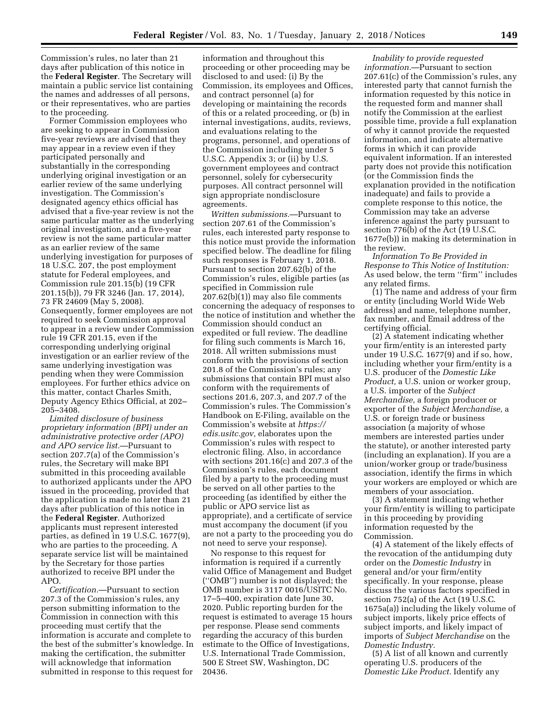Commission's rules, no later than 21 days after publication of this notice in the **Federal Register**. The Secretary will maintain a public service list containing the names and addresses of all persons, or their representatives, who are parties to the proceeding.

Former Commission employees who are seeking to appear in Commission five-year reviews are advised that they may appear in a review even if they participated personally and substantially in the corresponding underlying original investigation or an earlier review of the same underlying investigation. The Commission's designated agency ethics official has advised that a five-year review is not the same particular matter as the underlying original investigation, and a five-year review is not the same particular matter as an earlier review of the same underlying investigation for purposes of 18 U.S.C. 207, the post employment statute for Federal employees, and Commission rule 201.15(b) (19 CFR 201.15(b)), 79 FR 3246 (Jan. 17, 2014), 73 FR 24609 (May 5, 2008). Consequently, former employees are not required to seek Commission approval to appear in a review under Commission rule 19 CFR 201.15, even if the corresponding underlying original investigation or an earlier review of the same underlying investigation was pending when they were Commission employees. For further ethics advice on this matter, contact Charles Smith, Deputy Agency Ethics Official, at 202– 205–3408.

*Limited disclosure of business proprietary information (BPI) under an administrative protective order (APO) and APO service list.*—Pursuant to section 207.7(a) of the Commission's rules, the Secretary will make BPI submitted in this proceeding available to authorized applicants under the APO issued in the proceeding, provided that the application is made no later than 21 days after publication of this notice in the **Federal Register**. Authorized applicants must represent interested parties, as defined in 19 U.S.C. 1677(9), who are parties to the proceeding. A separate service list will be maintained by the Secretary for those parties authorized to receive BPI under the APO.

*Certification.*—Pursuant to section 207.3 of the Commission's rules, any person submitting information to the Commission in connection with this proceeding must certify that the information is accurate and complete to the best of the submitter's knowledge. In making the certification, the submitter will acknowledge that information submitted in response to this request for

information and throughout this proceeding or other proceeding may be disclosed to and used: (i) By the Commission, its employees and Offices, and contract personnel (a) for developing or maintaining the records of this or a related proceeding, or (b) in internal investigations, audits, reviews, and evaluations relating to the programs, personnel, and operations of the Commission including under 5 U.S.C. Appendix 3; or (ii) by U.S. government employees and contract personnel, solely for cybersecurity purposes. All contract personnel will sign appropriate nondisclosure agreements.

*Written submissions.*—Pursuant to section 207.61 of the Commission's rules, each interested party response to this notice must provide the information specified below. The deadline for filing such responses is February 1, 2018. Pursuant to section 207.62(b) of the Commission's rules, eligible parties (as specified in Commission rule 207.62(b)(1)) may also file comments concerning the adequacy of responses to the notice of institution and whether the Commission should conduct an expedited or full review. The deadline for filing such comments is March 16, 2018. All written submissions must conform with the provisions of section 201.8 of the Commission's rules; any submissions that contain BPI must also conform with the requirements of sections 201.6, 207.3, and 207.7 of the Commission's rules. The Commission's Handbook on E-Filing, available on the Commission's website at *[https://](https://edis.usitc.gov) [edis.usitc.gov,](https://edis.usitc.gov)* elaborates upon the Commission's rules with respect to electronic filing. Also, in accordance with sections 201.16(c) and 207.3 of the Commission's rules, each document filed by a party to the proceeding must be served on all other parties to the proceeding (as identified by either the public or APO service list as appropriate), and a certificate of service must accompany the document (if you are not a party to the proceeding you do not need to serve your response).

No response to this request for information is required if a currently valid Office of Management and Budget (''OMB'') number is not displayed; the OMB number is 3117 0016/USITC No. 17–5–400, expiration date June 30, 2020. Public reporting burden for the request is estimated to average 15 hours per response. Please send comments regarding the accuracy of this burden estimate to the Office of Investigations, U.S. International Trade Commission, 500 E Street SW, Washington, DC 20436.

*Inability to provide requested information.*—Pursuant to section 207.61(c) of the Commission's rules, any interested party that cannot furnish the information requested by this notice in the requested form and manner shall notify the Commission at the earliest possible time, provide a full explanation of why it cannot provide the requested information, and indicate alternative forms in which it can provide equivalent information. If an interested party does not provide this notification (or the Commission finds the explanation provided in the notification inadequate) and fails to provide a complete response to this notice, the Commission may take an adverse inference against the party pursuant to section 776(b) of the Act (19 U.S.C. 1677e(b)) in making its determination in the review.

*Information To Be Provided in Response to This Notice of Institution:*  As used below, the term ''firm'' includes any related firms.

(1) The name and address of your firm or entity (including World Wide Web address) and name, telephone number, fax number, and Email address of the certifying official.

(2) A statement indicating whether your firm/entity is an interested party under 19 U.S.C. 1677(9) and if so, how, including whether your firm/entity is a U.S. producer of the *Domestic Like Product,* a U.S. union or worker group, a U.S. importer of the *Subject Merchandise,* a foreign producer or exporter of the *Subject Merchandise,* a U.S. or foreign trade or business association (a majority of whose members are interested parties under the statute), or another interested party (including an explanation). If you are a union/worker group or trade/business association, identify the firms in which your workers are employed or which are members of your association.

(3) A statement indicating whether your firm/entity is willing to participate in this proceeding by providing information requested by the Commission.

(4) A statement of the likely effects of the revocation of the antidumping duty order on the *Domestic Industry* in general and/or your firm/entity specifically. In your response, please discuss the various factors specified in section 752(a) of the Act (19 U.S.C. 1675a(a)) including the likely volume of subject imports, likely price effects of subject imports, and likely impact of imports of *Subject Merchandise* on the *Domestic Industry.* 

(5) A list of all known and currently operating U.S. producers of the *Domestic Like Product.* Identify any